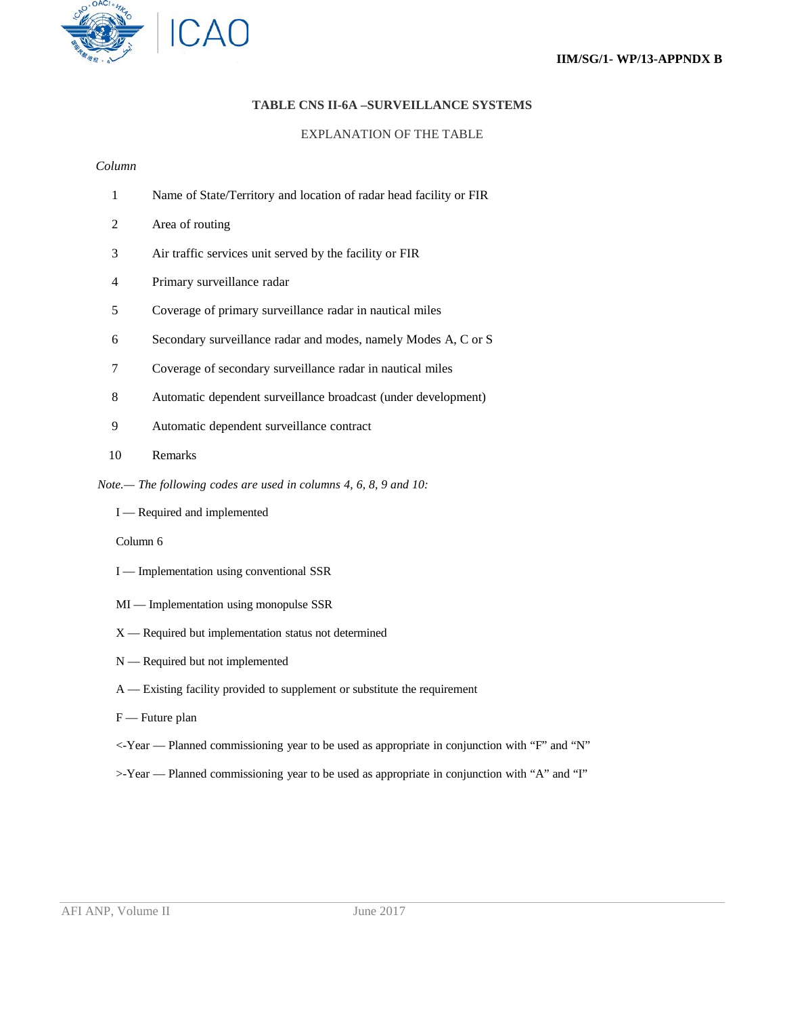## **TABLE CNS II-6A –SURVEILLANCE SYSTEMS**

### EXPLANATION OF THE TABLE

### *Column*

| Name of State/Territory and location of radar head facility or FIR |  |  |
|--------------------------------------------------------------------|--|--|
|                                                                    |  |  |

- 2 Area of routing
- 3 Air traffic services unit served by the facility or FIR
- 4 Primary surveillance radar
- 5 Coverage of primary surveillance radar in nautical miles
- 6 Secondary surveillance radar and modes, namely Modes A, C or S
- 7 Coverage of secondary surveillance radar in nautical miles
- 8 Automatic dependent surveillance broadcast (under development)
- 9 Automatic dependent surveillance contract
- 10 Remarks
- *Note.— The following codes are used in columns 4, 6, 8, 9 and 10:*
	- I Required and implemented

Column 6

- I Implementation using conventional SSR
- MI Implementation using monopulse SSR
- X Required but implementation status not determined
- N Required but not implemented
- A Existing facility provided to supplement or substitute the requirement
- F Future plan
- <-Year Planned commissioning year to be used as appropriate in conjunction with "F" and "N"
- >-Year Planned commissioning year to be used as appropriate in conjunction with "A" and "I"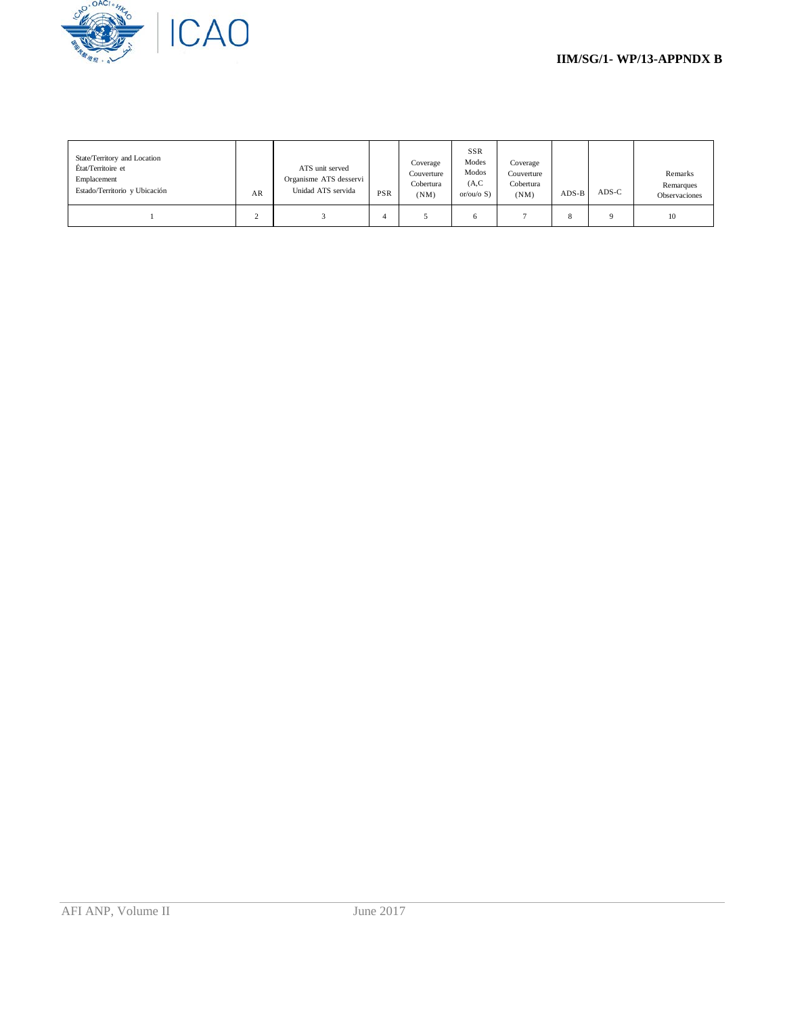

| State/Territory and Location<br>État/Territoire et<br>Emplacement<br>Estado/Territorio y Ubicación | AR | ATS unit served<br>Organisme ATS desservi<br>Unidad ATS servida | PSR | Coverage<br>Couverture<br>Cobertura<br>(NM) | <b>SSR</b><br>Modes<br>Modos<br>(A, C)<br>or/ou/o $S$ ) | Coverage<br>Couverture<br>Cobertura<br>(NM) | $ADS-B$ | $ADS-C$  | Remarks<br>Remarques<br>Observaciones |
|----------------------------------------------------------------------------------------------------|----|-----------------------------------------------------------------|-----|---------------------------------------------|---------------------------------------------------------|---------------------------------------------|---------|----------|---------------------------------------|
|                                                                                                    |    |                                                                 |     |                                             |                                                         |                                             | 8       | $\Omega$ | 10                                    |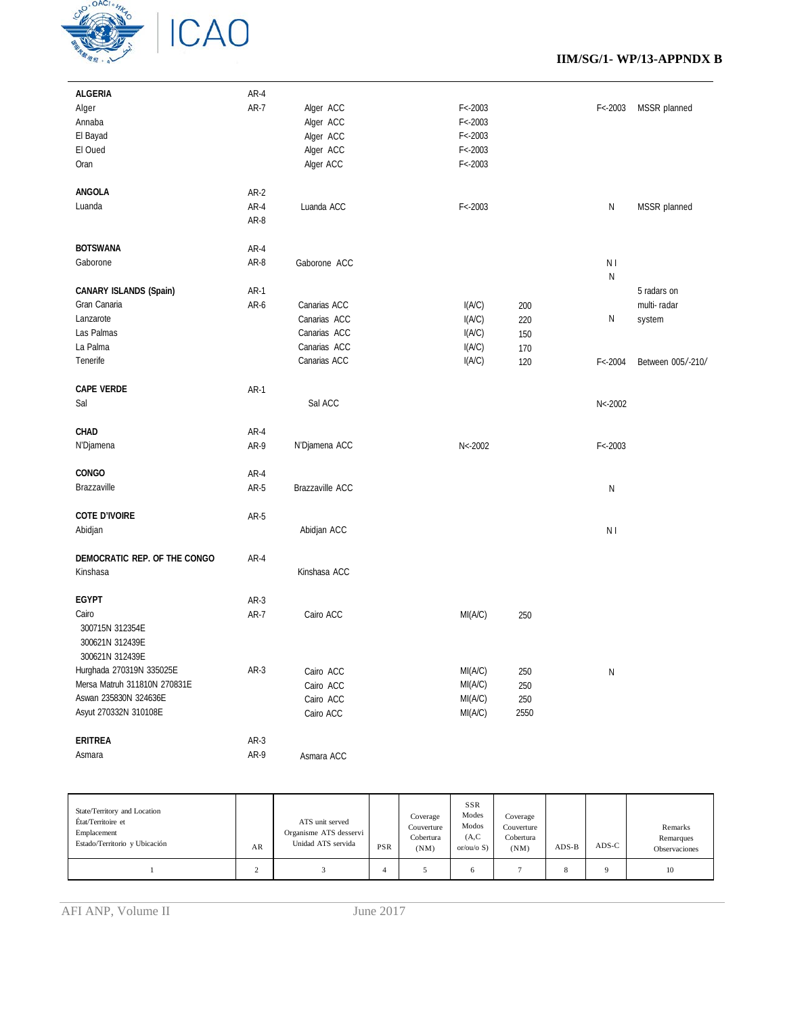

## **IIM/SG/1- WP/13-APPNDX B**

| <b>ALGERIA</b>                                                 | AR-4        |                 |             |      |                |                   |
|----------------------------------------------------------------|-------------|-----------------|-------------|------|----------------|-------------------|
| Alger                                                          | $AR-7$      | Alger ACC       | $F < -2003$ |      | $F < -2003$    | MSSR planned      |
| Annaba                                                         |             | Alger ACC       | $F < -2003$ |      |                |                   |
| El Bayad                                                       |             | Alger ACC       | $F < -2003$ |      |                |                   |
| El Oued                                                        |             | Alger ACC       | $F < -2003$ |      |                |                   |
| Oran                                                           |             | Alger ACC       | $F < -2003$ |      |                |                   |
| ANGOLA                                                         | AR-2        |                 |             |      |                |                   |
| Luanda                                                         | AR-4        | Luanda ACC      | $F < -2003$ |      | N              | MSSR planned      |
|                                                                | AR-8        |                 |             |      |                |                   |
| <b>BOTSWANA</b>                                                | AR-4        |                 |             |      |                |                   |
| Gaborone                                                       | AR-8        | Gaborone ACC    |             |      | N <sub>1</sub> |                   |
| CANARY ISLANDS (Spain)                                         | $AR-1$      |                 |             |      | N              | 5 radars on       |
| Gran Canaria                                                   | AR-6        | Canarias ACC    | I(A/C)      | 200  |                | multi-radar       |
| Lanzarote                                                      |             | Canarias ACC    | I(A/C)      |      | N              |                   |
| Las Palmas                                                     |             |                 |             | 220  |                | system            |
|                                                                |             | Canarias ACC    | I(A/C)      | 150  |                |                   |
| La Palma                                                       |             | Canarias ACC    | I(A/C)      | 170  |                |                   |
| Tenerife                                                       |             | Canarias ACC    | I(A/C)      | 120  | $F < -2004$    | Between 005/-210/ |
| <b>CAPE VERDE</b>                                              | $AR-1$      |                 |             |      |                |                   |
| Sal                                                            |             | Sal ACC         |             |      | $N < -2002$    |                   |
| CHAD                                                           | $AR-4$      |                 |             |      |                |                   |
| N'Djamena                                                      | AR-9        | N'Djamena ACC   | N < 2002    |      | $F < -2003$    |                   |
| CONGO                                                          | $AR-4$      |                 |             |      |                |                   |
| Brazzaville                                                    | AR-5        | Brazzaville ACC |             |      | N              |                   |
|                                                                |             |                 |             |      |                |                   |
| <b>COTE D'IVOIRE</b>                                           | AR-5        |                 |             |      |                |                   |
| Abidjan                                                        |             | Abidjan ACC     |             |      | N I            |                   |
| DEMOCRATIC REP. OF THE CONGO                                   | AR-4        |                 |             |      |                |                   |
| Kinshasa                                                       |             | Kinshasa ACC    |             |      |                |                   |
| <b>EGYPT</b>                                                   | $AR-3$      |                 |             |      |                |                   |
| Cairo<br>300715N 312354E<br>300621N 312439E<br>300621N 312439E | <b>AR-7</b> | Cairo ACC       | MI(A/C)     | 250  |                |                   |
| Hurghada 270319N 335025E                                       | $AR-3$      | Cairo ACC       | MI(A/C)     | 250  | N              |                   |
| Mersa Matruh 311810N 270831E                                   |             | Cairo ACC       | MI(A/C)     | 250  |                |                   |
| Aswan 235830N 324636E                                          |             | Cairo ACC       | MI(A/C)     | 250  |                |                   |
| Asyut 270332N 310108E                                          |             | Cairo ACC       | MI(A/C)     | 2550 |                |                   |
| <b>ERITREA</b>                                                 | $AR-3$      |                 |             |      |                |                   |
| Asmara                                                         | AR-9        | Asmara ACC      |             |      |                |                   |
|                                                                |             |                 |             |      |                |                   |

| State/Territory and Location<br>État/Territoire et<br>Emplacement<br>Estado/Territorio y Ubicación | AR | ATS unit served<br>Organisme ATS desservi<br>Unidad ATS servida | PSR | Coverage<br>Couverture<br>Cobertura<br>(NM) | <b>SSR</b><br>Modes<br>Modos<br>(A, C)<br>or/ou/o $S$ ) | Coverage<br>Couverture<br>Cobertura<br>(NM) | $ADS-B$ | $ADS-C$  | Remarks<br>Remarques<br>Observaciones |
|----------------------------------------------------------------------------------------------------|----|-----------------------------------------------------------------|-----|---------------------------------------------|---------------------------------------------------------|---------------------------------------------|---------|----------|---------------------------------------|
|                                                                                                    |    |                                                                 |     |                                             | 6                                                       |                                             |         | $\Omega$ | 10                                    |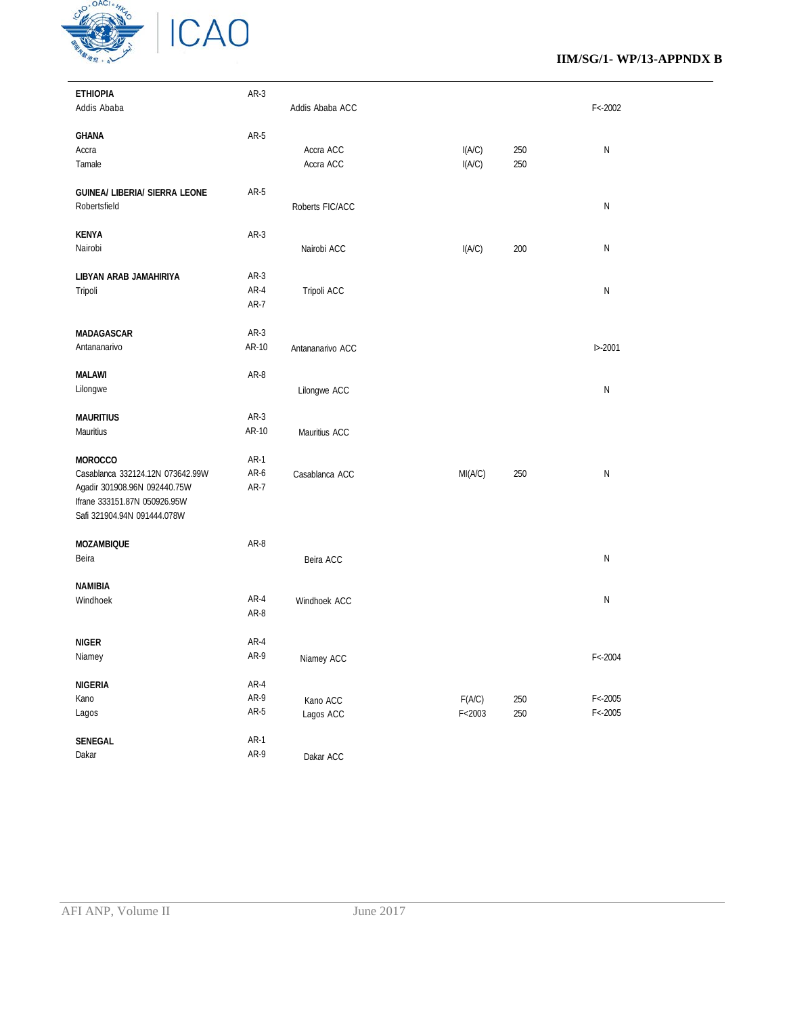

### **IIM/SG/1- WP/13-APPNDX B**

| <b>ETHIOPIA</b>                  | AR-3   |                  |          |     |             |
|----------------------------------|--------|------------------|----------|-----|-------------|
| Addis Ababa                      |        | Addis Ababa ACC  |          |     | $F < -2002$ |
|                                  |        |                  |          |     |             |
| <b>GHANA</b>                     | AR-5   |                  |          |     |             |
| Accra                            |        | Accra ACC        | I(A/C)   | 250 | N           |
| Tamale                           |        | Accra ACC        | I(A/C)   | 250 |             |
|                                  |        |                  |          |     |             |
| GUINEA/ LIBERIA/ SIERRA LEONE    | AR-5   |                  |          |     |             |
| Robertsfield                     |        | Roberts FIC/ACC  |          |     | N           |
|                                  |        |                  |          |     |             |
| <b>KENYA</b>                     | $AR-3$ |                  |          |     |             |
| Nairobi                          |        | Nairobi ACC      | I(A/C)   | 200 | N           |
|                                  |        |                  |          |     |             |
| LIBYAN ARAB JAMAHIRIYA           | $AR-3$ |                  |          |     |             |
| Tripoli                          | AR-4   | Tripoli ACC      |          |     | N           |
|                                  | AR-7   |                  |          |     |             |
|                                  |        |                  |          |     |             |
| MADAGASCAR                       | $AR-3$ |                  |          |     |             |
|                                  | AR-10  |                  |          |     |             |
| Antananarivo                     |        | Antananarivo ACC |          |     | $1 - 2001$  |
|                                  |        |                  |          |     |             |
| <b>MALAWI</b>                    | AR-8   |                  |          |     |             |
| Lilongwe                         |        | Lilongwe ACC     |          |     | N           |
|                                  |        |                  |          |     |             |
| <b>MAURITIUS</b>                 | $AR-3$ |                  |          |     |             |
| Mauritius                        | AR-10  | Mauritius ACC    |          |     |             |
|                                  |        |                  |          |     |             |
| <b>MOROCCO</b>                   | AR-1   |                  |          |     |             |
| Casablanca 332124.12N 073642.99W | AR-6   | Casablanca ACC   | MI(A/C)  | 250 | N           |
| Agadir 301908.96N 092440.75W     | AR-7   |                  |          |     |             |
| Ifrane 333151.87N 050926.95W     |        |                  |          |     |             |
| Safi 321904.94N 091444.078W      |        |                  |          |     |             |
|                                  |        |                  |          |     |             |
| <b>MOZAMBIQUE</b>                | AR-8   |                  |          |     |             |
| Beira                            |        | Beira ACC        |          |     | N           |
|                                  |        |                  |          |     |             |
| <b>NAMIBIA</b>                   |        |                  |          |     |             |
| Windhoek                         | $AR-4$ | Windhoek ACC     |          |     | N           |
|                                  | AR-8   |                  |          |     |             |
|                                  |        |                  |          |     |             |
| <b>NIGER</b>                     | AR-4   |                  |          |     |             |
| Niamey                           | AR-9   | Niamey ACC       |          |     | $F < -2004$ |
|                                  |        |                  |          |     |             |
| <b>NIGERIA</b>                   | $AR-4$ |                  |          |     |             |
| Kano                             | AR-9   | Kano ACC         | F(AC)    | 250 | $F < -2005$ |
| Lagos                            | $AR-5$ | Lagos ACC        | F < 2003 | 250 | $F < -2005$ |
|                                  |        |                  |          |     |             |
| SENEGAL                          | $AR-1$ |                  |          |     |             |
| Dakar                            | AR-9   |                  |          |     |             |
|                                  |        | Dakar ACC        |          |     |             |